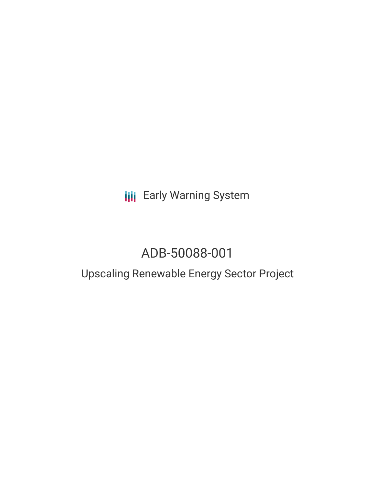**III** Early Warning System

# ADB-50088-001

## Upscaling Renewable Energy Sector Project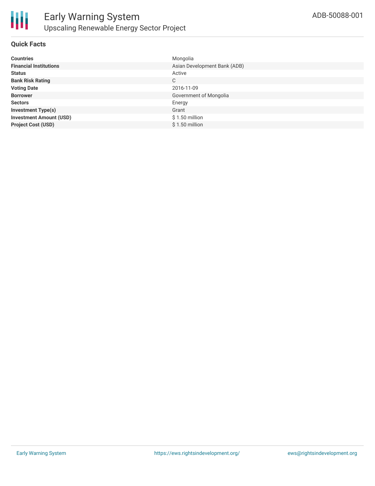

#### **Quick Facts**

| <b>Countries</b>               | Mongolia                     |
|--------------------------------|------------------------------|
| <b>Financial Institutions</b>  | Asian Development Bank (ADB) |
| <b>Status</b>                  | Active                       |
| <b>Bank Risk Rating</b>        | C                            |
| <b>Voting Date</b>             | 2016-11-09                   |
| <b>Borrower</b>                | Government of Mongolia       |
| <b>Sectors</b>                 | Energy                       |
| <b>Investment Type(s)</b>      | Grant                        |
| <b>Investment Amount (USD)</b> | $$1.50$ million              |
| <b>Project Cost (USD)</b>      | $$1.50$ million              |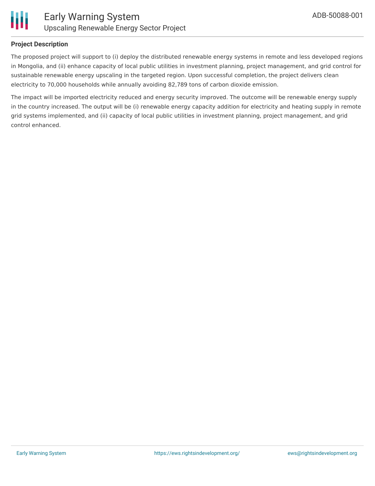



#### **Project Description**

The proposed project will support to (i) deploy the distributed renewable energy systems in remote and less developed regions in Mongolia, and (ii) enhance capacity of local public utilities in investment planning, project management, and grid control for sustainable renewable energy upscaling in the targeted region. Upon successful completion, the project delivers clean electricity to 70,000 households while annually avoiding 82,789 tons of carbon dioxide emission.

The impact will be imported electricity reduced and energy security improved. The outcome will be renewable energy supply in the country increased. The output will be (i) renewable energy capacity addition for electricity and heating supply in remote grid systems implemented, and (ii) capacity of local public utilities in investment planning, project management, and grid control enhanced.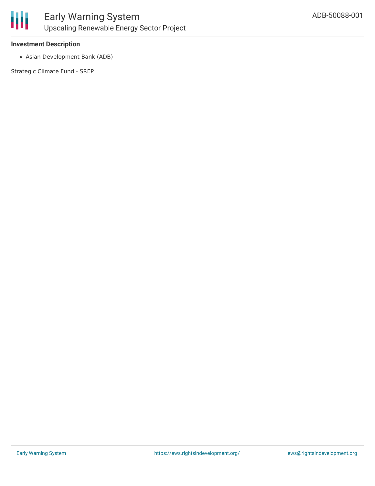

#### **Investment Description**

Asian Development Bank (ADB)

Strategic Climate Fund - SREP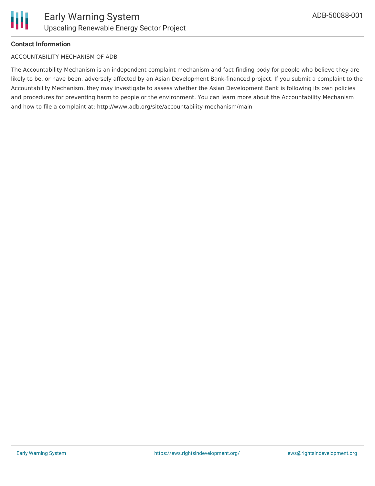#### **Contact Information**

#### ACCOUNTABILITY MECHANISM OF ADB

The Accountability Mechanism is an independent complaint mechanism and fact-finding body for people who believe they are likely to be, or have been, adversely affected by an Asian Development Bank-financed project. If you submit a complaint to the Accountability Mechanism, they may investigate to assess whether the Asian Development Bank is following its own policies and procedures for preventing harm to people or the environment. You can learn more about the Accountability Mechanism and how to file a complaint at: http://www.adb.org/site/accountability-mechanism/main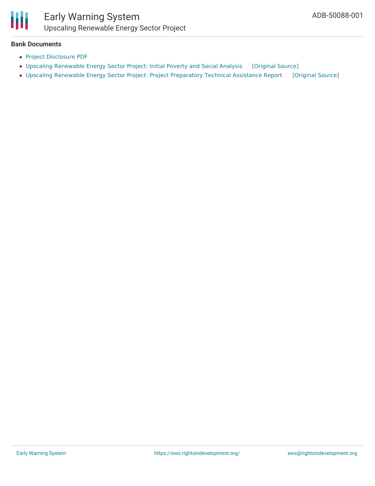

### Early Warning System Upscaling Renewable Energy Sector Project

#### **Bank Documents**

- Project [Disclosure](https://www.adb.org/printpdf/projects/ADB-50088-001/main) PDF
- Upscaling [Renewable](https://ewsdata.rightsindevelopment.org/files/documents/01/ADB-ADB-50088-001.pdf) Energy Sector Project: Initial Poverty and Social Analysis [\[Original](https://www.adb.org/projects/documents/mon-upscaling-renewable-energy-sector-project-ipsa) Source]
- Upscaling Renewable Energy Sector Project: Project [Preparatory](https://ewsdata.rightsindevelopment.org/files/documents/01/ADB-ADB-50088-001_llqYOez.pdf) Technical Assistance Report [\[Original](https://www.adb.org/projects/documents/mon-upscaling-renewable-energy-sector-project-pptar) Source]